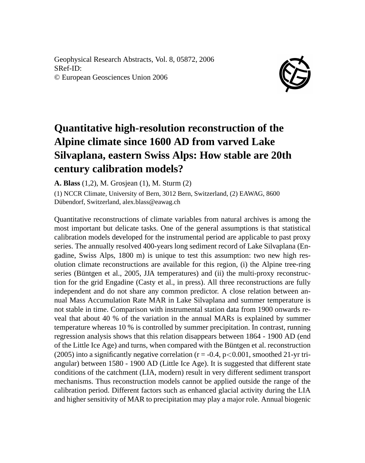Geophysical Research Abstracts, Vol. 8, 05872, 2006 SRef-ID: © European Geosciences Union 2006



## **Quantitative high-resolution reconstruction of the Alpine climate since 1600 AD from varved Lake Silvaplana, eastern Swiss Alps: How stable are 20th century calibration models?**

**A. Blass** (1,2), M. Grosjean (1), M. Sturm (2)

(1) NCCR Climate, University of Bern, 3012 Bern, Switzerland, (2) EAWAG, 8600 Dübendorf, Switzerland, alex.blass@eawag.ch

Quantitative reconstructions of climate variables from natural archives is among the most important but delicate tasks. One of the general assumptions is that statistical calibration models developed for the instrumental period are applicable to past proxy series. The annually resolved 400-years long sediment record of Lake Silvaplana (Engadine, Swiss Alps, 1800 m) is unique to test this assumption: two new high resolution climate reconstructions are available for this region, (i) the Alpine tree-ring series (Büntgen et al., 2005, JJA temperatures) and (ii) the multi-proxy reconstruction for the grid Engadine (Casty et al., in press). All three reconstructions are fully independent and do not share any common predictor. A close relation between annual Mass Accumulation Rate MAR in Lake Silvaplana and summer temperature is not stable in time. Comparison with instrumental station data from 1900 onwards reveal that about 40 % of the variation in the annual MARs is explained by summer temperature whereas 10 % is controlled by summer precipitation. In contrast, running regression analysis shows that this relation disappears between 1864 - 1900 AD (end of the Little Ice Age) and turns, when compared with the Büntgen et al. reconstruction (2005) into a significantly negative correlation ( $r = -0.4$ ,  $p < 0.001$ , smoothed 21-yr triangular) between 1580 - 1900 AD (Little Ice Age). It is suggested that different state conditions of the catchment (LIA, modern) result in very different sediment transport mechanisms. Thus reconstruction models cannot be applied outside the range of the calibration period. Different factors such as enhanced glacial activity during the LIA and higher sensitivity of MAR to precipitation may play a major role. Annual biogenic